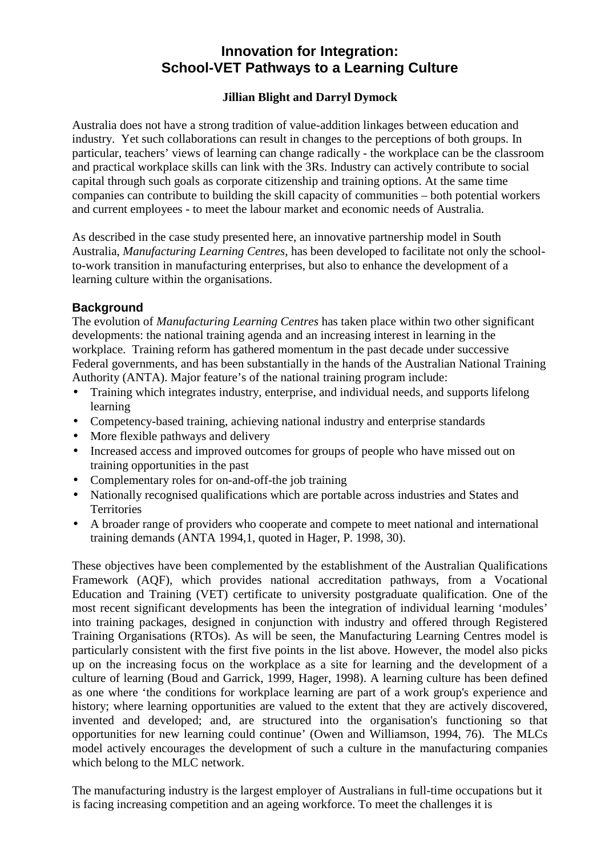# **Innovation for Integration: School-VET Pathways to a Learning Culture**

# **Jillian Blight and Darryl Dymock**

Australia does not have a strong tradition of value-addition linkages between education and industry. Yet such collaborations can result in changes to the perceptions of both groups. In particular, teachers' views of learning can change radically - the workplace can be the classroom and practical workplace skills can link with the 3Rs. Industry can actively contribute to social capital through such goals as corporate citizenship and training options. At the same time companies can contribute to building the skill capacity of communities – both potential workers and current employees - to meet the labour market and economic needs of Australia.

As described in the case study presented here, an innovative partnership model in South Australia, *Manufacturing Learning Centres,* has been developed to facilitate not only the schoolto-work transition in manufacturing enterprises, but also to enhance the development of a learning culture within the organisations.

## **Background**

The evolution of *Manufacturing Learning Centres* has taken place within two other significant developments: the national training agenda and an increasing interest in learning in the workplace. Training reform has gathered momentum in the past decade under successive Federal governments, and has been substantially in the hands of the Australian National Training Authority (ANTA). Major feature's of the national training program include:

- Training which integrates industry, enterprise, and individual needs, and supports lifelong learning
- Competency-based training, achieving national industry and enterprise standards
- More flexible pathways and delivery
- Increased access and improved outcomes for groups of people who have missed out on training opportunities in the past
- Complementary roles for on-and-off-the job training
- Nationally recognised qualifications which are portable across industries and States and **Territories**
- A broader range of providers who cooperate and compete to meet national and international training demands (ANTA 1994,1, quoted in Hager, P. 1998, 30).

These objectives have been complemented by the establishment of the Australian Qualifications Framework (AQF), which provides national accreditation pathways, from a Vocational Education and Training (VET) certificate to university postgraduate qualification. One of the most recent significant developments has been the integration of individual learning 'modules' into training packages, designed in conjunction with industry and offered through Registered Training Organisations (RTOs). As will be seen, the Manufacturing Learning Centres model is particularly consistent with the first five points in the list above. However, the model also picks up on the increasing focus on the workplace as a site for learning and the development of a culture of learning (Boud and Garrick, 1999, Hager, 1998). A learning culture has been defined as one where 'the conditions for workplace learning are part of a work group's experience and history; where learning opportunities are valued to the extent that they are actively discovered, invented and developed; and, are structured into the organisation's functioning so that opportunities for new learning could continue' (Owen and Williamson, 1994, 76). The MLCs model actively encourages the development of such a culture in the manufacturing companies which belong to the MLC network.

The manufacturing industry is the largest employer of Australians in full-time occupations but it is facing increasing competition and an ageing workforce. To meet the challenges it is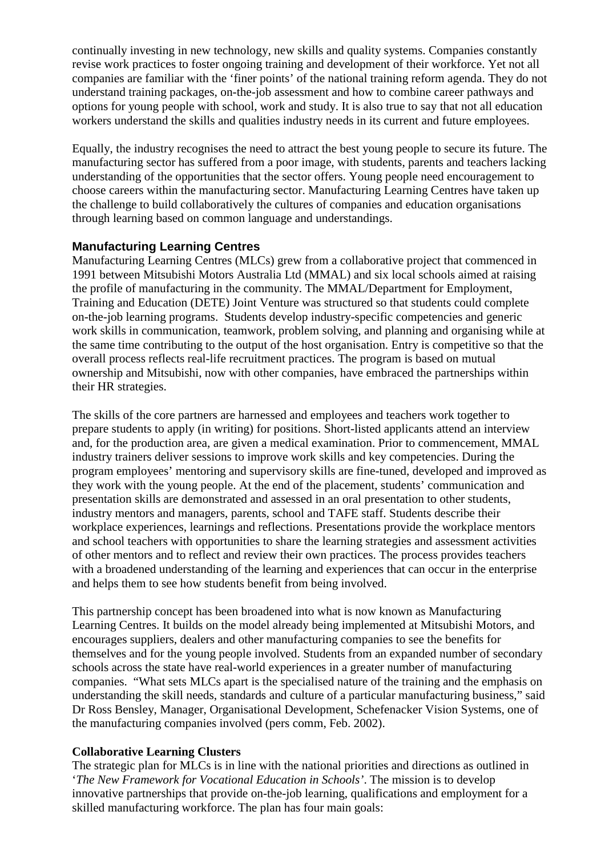continually investing in new technology, new skills and quality systems. Companies constantly revise work practices to foster ongoing training and development of their workforce. Yet not all companies are familiar with the 'finer points' of the national training reform agenda. They do not understand training packages, on-the-job assessment and how to combine career pathways and options for young people with school, work and study. It is also true to say that not all education workers understand the skills and qualities industry needs in its current and future employees.

Equally, the industry recognises the need to attract the best young people to secure its future. The manufacturing sector has suffered from a poor image, with students, parents and teachers lacking understanding of the opportunities that the sector offers. Young people need encouragement to choose careers within the manufacturing sector. Manufacturing Learning Centres have taken up the challenge to build collaboratively the cultures of companies and education organisations through learning based on common language and understandings.

## **Manufacturing Learning Centres**

Manufacturing Learning Centres (MLCs) grew from a collaborative project that commenced in 1991 between Mitsubishi Motors Australia Ltd (MMAL) and six local schools aimed at raising the profile of manufacturing in the community. The MMAL/Department for Employment, Training and Education (DETE) Joint Venture was structured so that students could complete on-the-job learning programs. Students develop industry-specific competencies and generic work skills in communication, teamwork, problem solving, and planning and organising while at the same time contributing to the output of the host organisation. Entry is competitive so that the overall process reflects real-life recruitment practices. The program is based on mutual ownership and Mitsubishi, now with other companies, have embraced the partnerships within their HR strategies.

The skills of the core partners are harnessed and employees and teachers work together to prepare students to apply (in writing) for positions. Short-listed applicants attend an interview and, for the production area, are given a medical examination. Prior to commencement, MMAL industry trainers deliver sessions to improve work skills and key competencies. During the program employees' mentoring and supervisory skills are fine-tuned, developed and improved as they work with the young people. At the end of the placement, students' communication and presentation skills are demonstrated and assessed in an oral presentation to other students, industry mentors and managers, parents, school and TAFE staff. Students describe their workplace experiences, learnings and reflections. Presentations provide the workplace mentors and school teachers with opportunities to share the learning strategies and assessment activities of other mentors and to reflect and review their own practices. The process provides teachers with a broadened understanding of the learning and experiences that can occur in the enterprise and helps them to see how students benefit from being involved.

This partnership concept has been broadened into what is now known as Manufacturing Learning Centres. It builds on the model already being implemented at Mitsubishi Motors, and encourages suppliers, dealers and other manufacturing companies to see the benefits for themselves and for the young people involved. Students from an expanded number of secondary schools across the state have real-world experiences in a greater number of manufacturing companies. "What sets MLCs apart is the specialised nature of the training and the emphasis on understanding the skill needs, standards and culture of a particular manufacturing business," said Dr Ross Bensley, Manager, Organisational Development, Schefenacker Vision Systems, one of the manufacturing companies involved (pers comm, Feb. 2002).

#### **Collaborative Learning Clusters**

The strategic plan for MLCs is in line with the national priorities and directions as outlined in '*The New Framework for Vocational Education in Schools'*. The mission is to develop innovative partnerships that provide on-the-job learning, qualifications and employment for a skilled manufacturing workforce. The plan has four main goals: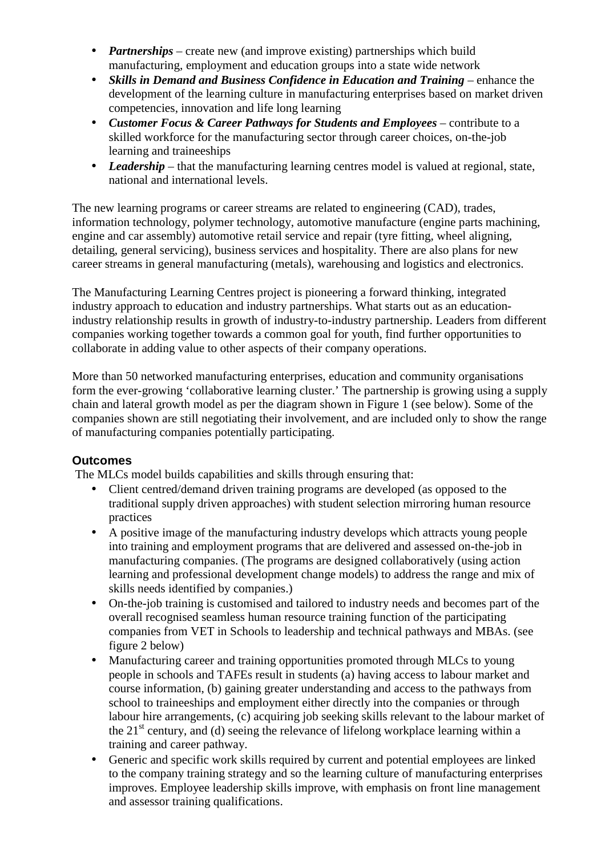- *Partnerships* create new (and improve existing) partnerships which build manufacturing, employment and education groups into a state wide network
- *Skills in Demand and Business Confidence in Education and Training* enhance the development of the learning culture in manufacturing enterprises based on market driven competencies, innovation and life long learning
- *Customer Focus & Career Pathways for Students and Employees* contribute to a skilled workforce for the manufacturing sector through career choices, on-the-job learning and traineeships
- *Leadership* that the manufacturing learning centres model is valued at regional, state, national and international levels.

The new learning programs or career streams are related to engineering (CAD), trades, information technology, polymer technology, automotive manufacture (engine parts machining, engine and car assembly) automotive retail service and repair (tyre fitting, wheel aligning, detailing, general servicing), business services and hospitality. There are also plans for new career streams in general manufacturing (metals), warehousing and logistics and electronics.

The Manufacturing Learning Centres project is pioneering a forward thinking, integrated industry approach to education and industry partnerships. What starts out as an educationindustry relationship results in growth of industry-to-industry partnership. Leaders from different companies working together towards a common goal for youth, find further opportunities to collaborate in adding value to other aspects of their company operations.

More than 50 networked manufacturing enterprises, education and community organisations form the ever-growing 'collaborative learning cluster.' The partnership is growing using a supply chain and lateral growth model as per the diagram shown in Figure 1 (see below). Some of the companies shown are still negotiating their involvement, and are included only to show the range of manufacturing companies potentially participating.

# **Outcomes**

The MLCs model builds capabilities and skills through ensuring that:

- Client centred/demand driven training programs are developed (as opposed to the traditional supply driven approaches) with student selection mirroring human resource practices
- A positive image of the manufacturing industry develops which attracts young people into training and employment programs that are delivered and assessed on-the-job in manufacturing companies. (The programs are designed collaboratively (using action learning and professional development change models) to address the range and mix of skills needs identified by companies.)
- On-the-job training is customised and tailored to industry needs and becomes part of the overall recognised seamless human resource training function of the participating companies from VET in Schools to leadership and technical pathways and MBAs. (see figure 2 below)
- Manufacturing career and training opportunities promoted through MLCs to young people in schools and TAFEs result in students (a) having access to labour market and course information, (b) gaining greater understanding and access to the pathways from school to traineeships and employment either directly into the companies or through labour hire arrangements, (c) acquiring job seeking skills relevant to the labour market of the  $21<sup>st</sup>$  century, and (d) seeing the relevance of lifelong workplace learning within a training and career pathway.
- Generic and specific work skills required by current and potential employees are linked to the company training strategy and so the learning culture of manufacturing enterprises improves. Employee leadership skills improve, with emphasis on front line management and assessor training qualifications.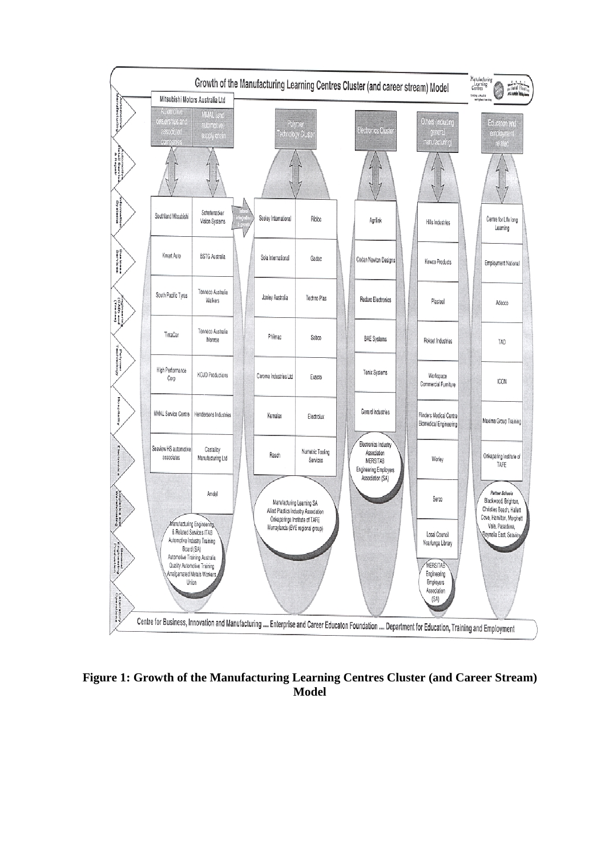

**Figure 1: Growth of the Manufacturing Learning Centres Cluster (and Career Stream) Model**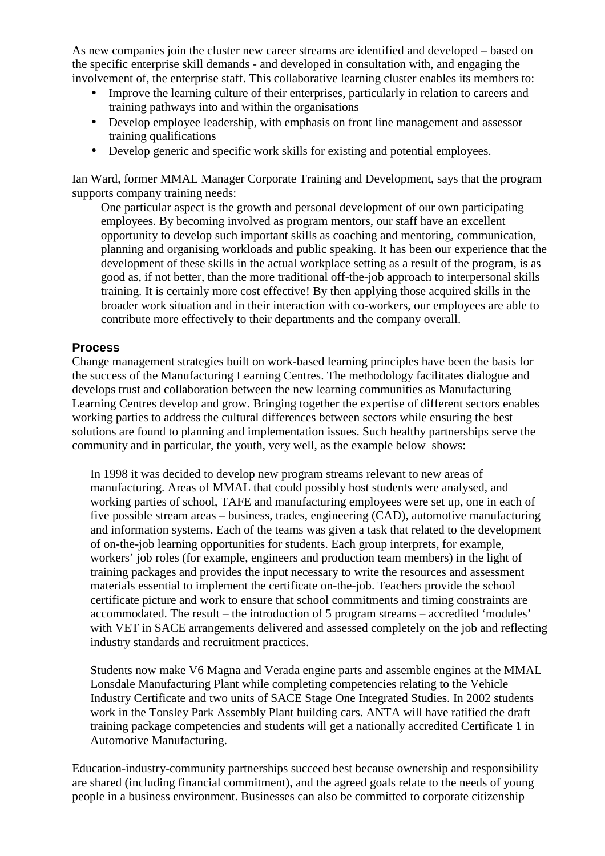As new companies join the cluster new career streams are identified and developed – based on the specific enterprise skill demands - and developed in consultation with, and engaging the involvement of, the enterprise staff. This collaborative learning cluster enables its members to:

- Improve the learning culture of their enterprises, particularly in relation to careers and training pathways into and within the organisations
- Develop employee leadership, with emphasis on front line management and assessor training qualifications
- Develop generic and specific work skills for existing and potential employees.

Ian Ward, former MMAL Manager Corporate Training and Development, says that the program supports company training needs:

One particular aspect is the growth and personal development of our own participating employees. By becoming involved as program mentors, our staff have an excellent opportunity to develop such important skills as coaching and mentoring, communication, planning and organising workloads and public speaking. It has been our experience that the development of these skills in the actual workplace setting as a result of the program, is as good as, if not better, than the more traditional off-the-job approach to interpersonal skills training. It is certainly more cost effective! By then applying those acquired skills in the broader work situation and in their interaction with co-workers, our employees are able to contribute more effectively to their departments and the company overall.

## **Process**

Change management strategies built on work-based learning principles have been the basis for the success of the Manufacturing Learning Centres. The methodology facilitates dialogue and develops trust and collaboration between the new learning communities as Manufacturing Learning Centres develop and grow. Bringing together the expertise of different sectors enables working parties to address the cultural differences between sectors while ensuring the best solutions are found to planning and implementation issues. Such healthy partnerships serve the community and in particular, the youth, very well, as the example below shows:

In 1998 it was decided to develop new program streams relevant to new areas of manufacturing. Areas of MMAL that could possibly host students were analysed, and working parties of school, TAFE and manufacturing employees were set up, one in each of five possible stream areas – business, trades, engineering (CAD), automotive manufacturing and information systems. Each of the teams was given a task that related to the development of on-the-job learning opportunities for students. Each group interprets, for example, workers' job roles (for example, engineers and production team members) in the light of training packages and provides the input necessary to write the resources and assessment materials essential to implement the certificate on-the-job. Teachers provide the school certificate picture and work to ensure that school commitments and timing constraints are accommodated. The result – the introduction of 5 program streams – accredited 'modules' with VET in SACE arrangements delivered and assessed completely on the job and reflecting industry standards and recruitment practices.

Students now make V6 Magna and Verada engine parts and assemble engines at the MMAL Lonsdale Manufacturing Plant while completing competencies relating to the Vehicle Industry Certificate and two units of SACE Stage One Integrated Studies. In 2002 students work in the Tonsley Park Assembly Plant building cars. ANTA will have ratified the draft training package competencies and students will get a nationally accredited Certificate 1 in Automotive Manufacturing.

Education-industry-community partnerships succeed best because ownership and responsibility are shared (including financial commitment), and the agreed goals relate to the needs of young people in a business environment. Businesses can also be committed to corporate citizenship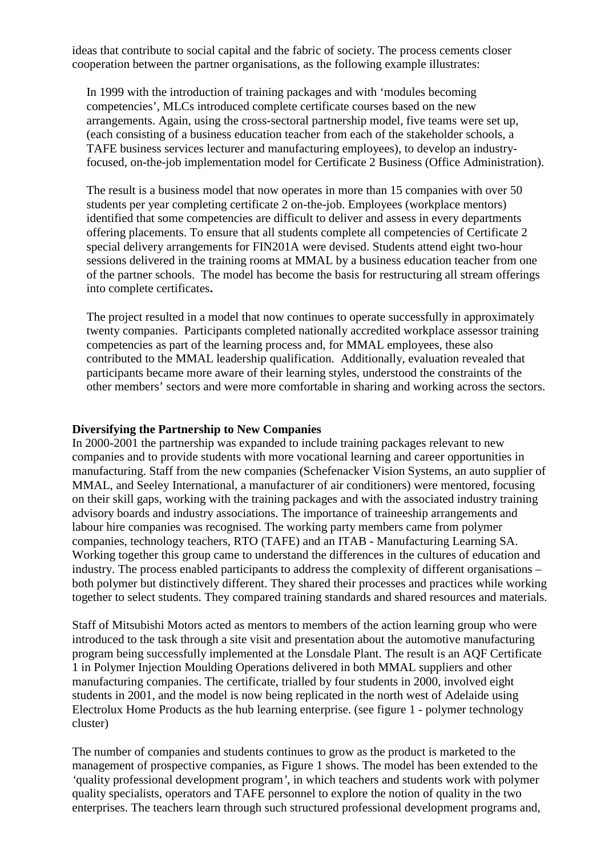ideas that contribute to social capital and the fabric of society. The process cements closer cooperation between the partner organisations, as the following example illustrates:

In 1999 with the introduction of training packages and with 'modules becoming competencies', MLCs introduced complete certificate courses based on the new arrangements. Again, using the cross-sectoral partnership model, five teams were set up, (each consisting of a business education teacher from each of the stakeholder schools, a TAFE business services lecturer and manufacturing employees), to develop an industryfocused, on-the-job implementation model for Certificate 2 Business (Office Administration).

The result is a business model that now operates in more than 15 companies with over 50 students per year completing certificate 2 on-the-job. Employees (workplace mentors) identified that some competencies are difficult to deliver and assess in every departments offering placements. To ensure that all students complete all competencies of Certificate 2 special delivery arrangements for FIN201A were devised. Students attend eight two-hour sessions delivered in the training rooms at MMAL by a business education teacher from one of the partner schools. The model has become the basis for restructuring all stream offerings into complete certificates**.** 

The project resulted in a model that now continues to operate successfully in approximately twenty companies. Participants completed nationally accredited workplace assessor training competencies as part of the learning process and, for MMAL employees, these also contributed to the MMAL leadership qualification. Additionally, evaluation revealed that participants became more aware of their learning styles, understood the constraints of the other members' sectors and were more comfortable in sharing and working across the sectors.

#### **Diversifying the Partnership to New Companies**

In 2000-2001 the partnership was expanded to include training packages relevant to new companies and to provide students with more vocational learning and career opportunities in manufacturing. Staff from the new companies (Schefenacker Vision Systems, an auto supplier of MMAL, and Seeley International, a manufacturer of air conditioners) were mentored, focusing on their skill gaps, working with the training packages and with the associated industry training advisory boards and industry associations. The importance of traineeship arrangements and labour hire companies was recognised. The working party members came from polymer companies, technology teachers, RTO (TAFE) and an ITAB - Manufacturing Learning SA. Working together this group came to understand the differences in the cultures of education and industry. The process enabled participants to address the complexity of different organisations – both polymer but distinctively different. They shared their processes and practices while working together to select students. They compared training standards and shared resources and materials.

Staff of Mitsubishi Motors acted as mentors to members of the action learning group who were introduced to the task through a site visit and presentation about the automotive manufacturing program being successfully implemented at the Lonsdale Plant. The result is an AQF Certificate 1 in Polymer Injection Moulding Operations delivered in both MMAL suppliers and other manufacturing companies. The certificate, trialled by four students in 2000, involved eight students in 2001, and the model is now being replicated in the north west of Adelaide using Electrolux Home Products as the hub learning enterprise. (see figure 1 - polymer technology cluster)

The number of companies and students continues to grow as the product is marketed to the management of prospective companies, as Figure 1 shows. The model has been extended to the *'*quality professional development program*'*, in which teachers and students work with polymer quality specialists, operators and TAFE personnel to explore the notion of quality in the two enterprises. The teachers learn through such structured professional development programs and,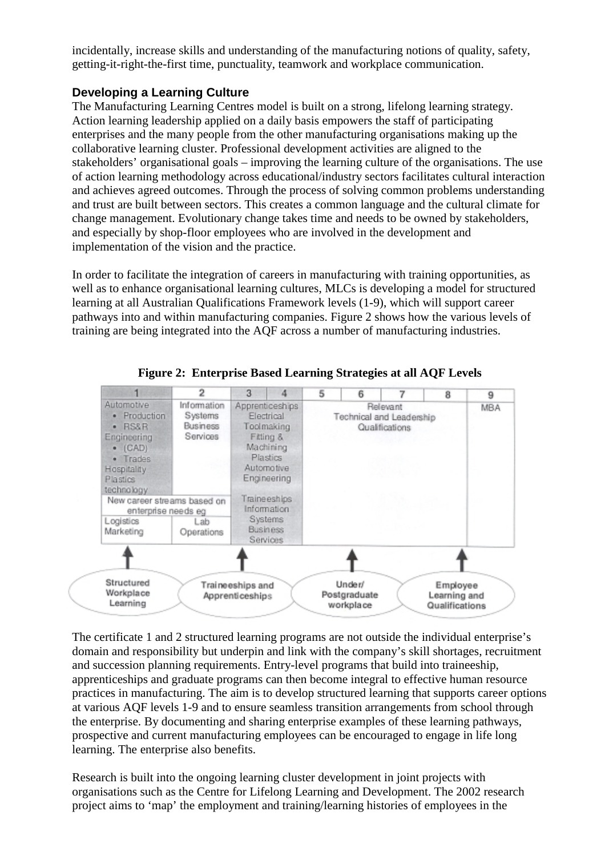incidentally, increase skills and understanding of the manufacturing notions of quality, safety, getting-it-right-the-first time, punctuality, teamwork and workplace communication.

# **Developing a Learning Culture**

The Manufacturing Learning Centres model is built on a strong, lifelong learning strategy. Action learning leadership applied on a daily basis empowers the staff of participating enterprises and the many people from the other manufacturing organisations making up the collaborative learning cluster. Professional development activities are aligned to the stakeholders' organisational goals – improving the learning culture of the organisations. The use of action learning methodology across educational/industry sectors facilitates cultural interaction and achieves agreed outcomes. Through the process of solving common problems understanding and trust are built between sectors. This creates a common language and the cultural climate for change management. Evolutionary change takes time and needs to be owned by stakeholders, and especially by shop-floor employees who are involved in the development and implementation of the vision and the practice.

In order to facilitate the integration of careers in manufacturing with training opportunities, as well as to enhance organisational learning cultures, MLCs is developing a model for structured learning at all Australian Qualifications Framework levels (1-9), which will support career pathways into and within manufacturing companies. Figure 2 shows how the various levels of training are being integrated into the AQF across a number of manufacturing industries.



**Figure 2: Enterprise Based Learning Strategies at all AQF Levels** 

The certificate 1 and 2 structured learning programs are not outside the individual enterprise's domain and responsibility but underpin and link with the company's skill shortages, recruitment and succession planning requirements. Entry-level programs that build into traineeship, apprenticeships and graduate programs can then become integral to effective human resource practices in manufacturing. The aim is to develop structured learning that supports career options at various AQF levels 1-9 and to ensure seamless transition arrangements from school through the enterprise. By documenting and sharing enterprise examples of these learning pathways, prospective and current manufacturing employees can be encouraged to engage in life long learning. The enterprise also benefits.

Research is built into the ongoing learning cluster development in joint projects with organisations such as the Centre for Lifelong Learning and Development. The 2002 research project aims to 'map' the employment and training/learning histories of employees in the